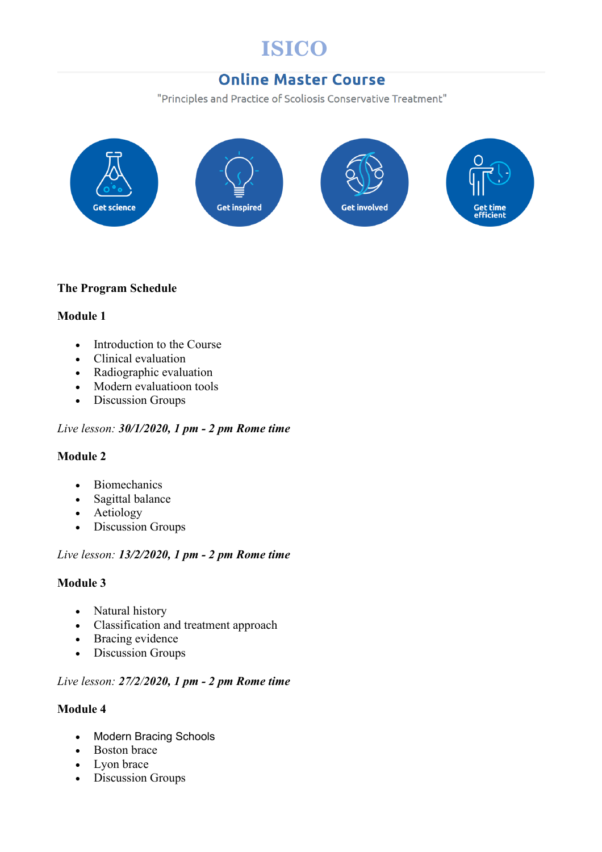# **ISICO**

# **Online Master Course**

"Principles and Practice of Scoliosis Conservative Treatment"



# **The Program Schedule**

# **Module 1**

- Introduction to the Course
- Clinical evaluation
- Radiographic evaluation
- Modern evaluatioon tools
- Discussion Groups

#### *Live lesson: 30/1/2020, 1 pm - 2 pm Rome time*

#### **Module 2**

- Biomechanics
- Sagittal balance
- Aetiology
- Discussion Groups

#### *Live lesson: 13/2/2020, 1 pm - 2 pm Rome time*

#### **Module 3**

- Natural history
- Classification and treatment approach
- Bracing evidence
- Discussion Groups

# *Live lesson: 27/2/2020, 1 pm - 2 pm Rome time*

#### **Module 4**

- Modern Bracing Schools
- Boston brace
- Lyon brace
- Discussion Groups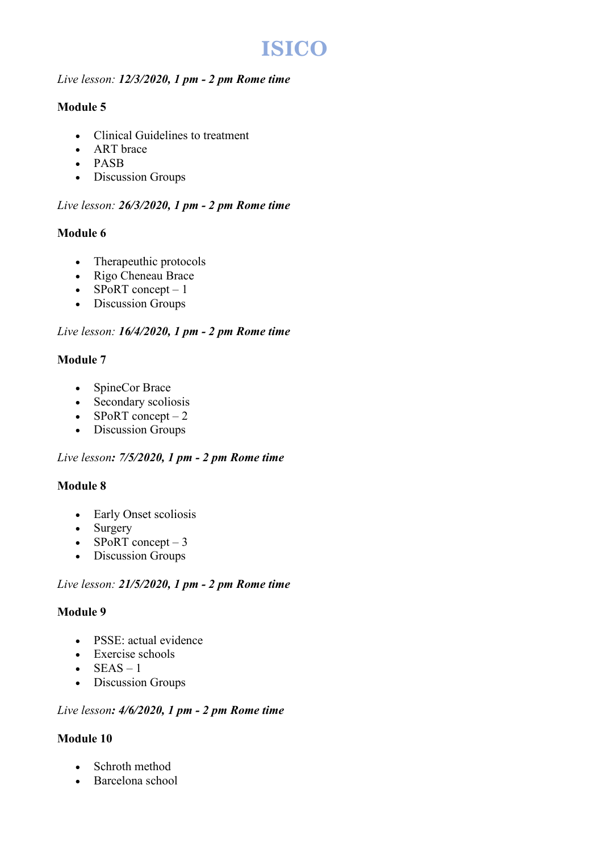# **ISICO**

#### *Live lesson: 12/3/2020, 1 pm - 2 pm Rome time*

# **Module 5**

- Clinical Guidelines to treatment
- ART brace
- PASB
- Discussion Groups

# *Live lesson: 26/3/2020, 1 pm - 2 pm Rome time*

# **Module 6**

- Therapeuthic protocols
- Rigo Cheneau Brace
- SPoRT concept  $-1$
- Discussion Groups

# *Live lesson: 16/4/2020, 1 pm - 2 pm Rome time*

# **Module 7**

- SpineCor Brace
- Secondary scoliosis
- $\bullet$  SPoRT concept  $-2$
- Discussion Groups

#### *Live lesson: 7/5/2020, 1 pm - 2 pm Rome time*

# **Module 8**

- Early Onset scoliosis
- Surgery
- SPoRT concept  $-3$
- Discussion Groups

#### *Live lesson: 21/5/2020, 1 pm - 2 pm Rome time*

#### **Module 9**

- PSSE: actual evidence
- Exercise schools
- $\bullet$  SEAS 1
- Discussion Groups

#### *Live lesson: 4/6/2020, 1 pm - 2 pm Rome time*

# **Module 10**

- Schroth method
- Barcelona school